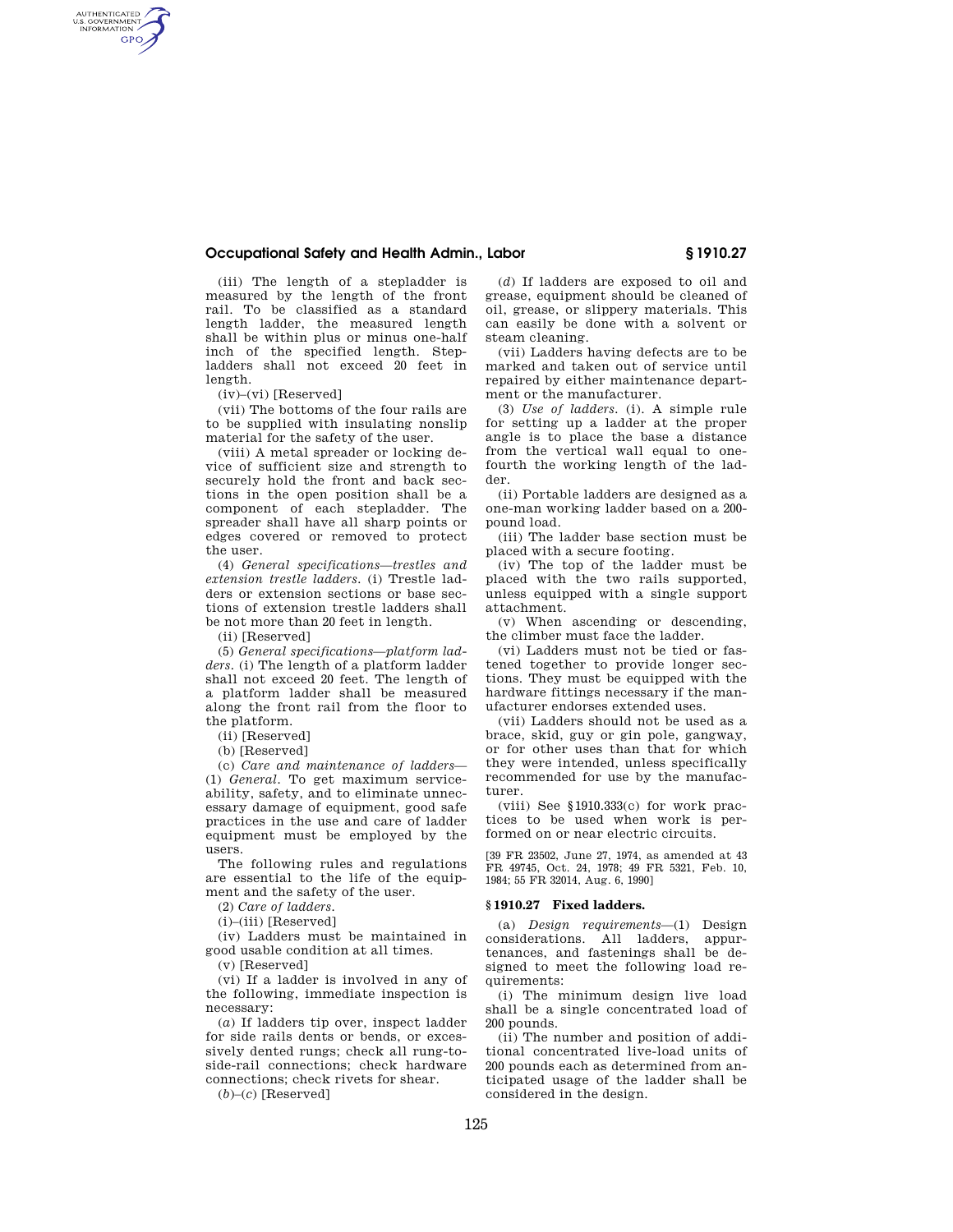(iii) The length of a stepladder is measured by the length of the front rail. To be classified as a standard length ladder, the measured length shall be within plus or minus one-half inch of the specified length. Stepladders shall not exceed 20 feet in length.

(iv)–(vi) [Reserved]

AUTHENTICATED<br>U.S. GOVERNMENT<br>INFORMATION **GPO** 

> (vii) The bottoms of the four rails are to be supplied with insulating nonslip material for the safety of the user.

> (viii) A metal spreader or locking device of sufficient size and strength to securely hold the front and back sections in the open position shall be a component of each stepladder. The spreader shall have all sharp points or edges covered or removed to protect the user.

> (4) *General specifications—trestles and extension trestle ladders.* (i) Trestle ladders or extension sections or base sections of extension trestle ladders shall be not more than 20 feet in length.

(ii) [Reserved]

(5) *General specifications—platform ladders.* (i) The length of a platform ladder shall not exceed 20 feet. The length of a platform ladder shall be measured along the front rail from the floor to the platform.

(ii) [Reserved]

(b) [Reserved]

(c) *Care and maintenance of ladders*— (1) *General.* To get maximum serviceability, safety, and to eliminate unnecessary damage of equipment, good safe practices in the use and care of ladder equipment must be employed by the users.

The following rules and regulations are essential to the life of the equipment and the safety of the user.

(2) *Care of ladders.* 

(i)–(iii) [Reserved]

(iv) Ladders must be maintained in good usable condition at all times.

(v) [Reserved]

(vi) If a ladder is involved in any of the following, immediate inspection is necessary:

(*a*) If ladders tip over, inspect ladder for side rails dents or bends, or excessively dented rungs; check all rung-toside-rail connections; check hardware connections; check rivets for shear.

(*b*)–(*c*) [Reserved]

(*d*) If ladders are exposed to oil and grease, equipment should be cleaned of oil, grease, or slippery materials. This can easily be done with a solvent or steam cleaning.

(vii) Ladders having defects are to be marked and taken out of service until repaired by either maintenance department or the manufacturer.

(3) *Use of ladders.* (i). A simple rule for setting up a ladder at the proper angle is to place the base a distance from the vertical wall equal to onefourth the working length of the ladder.

(ii) Portable ladders are designed as a one-man working ladder based on a 200 pound load.

(iii) The ladder base section must be placed with a secure footing.

(iv) The top of the ladder must be placed with the two rails supported, unless equipped with a single support attachment.

(v) When ascending or descending, the climber must face the ladder.

(vi) Ladders must not be tied or fastened together to provide longer sections. They must be equipped with the hardware fittings necessary if the manufacturer endorses extended uses.

(vii) Ladders should not be used as a brace, skid, guy or gin pole, gangway, or for other uses than that for which they were intended, unless specifically recommended for use by the manufacturer.

(viii) See §1910.333(c) for work practices to be used when work is performed on or near electric circuits.

[39 FR 23502, June 27, 1974, as amended at 43 FR 49745, Oct. 24, 1978; 49 FR 5321, Feb. 10, 1984; 55 FR 32014, Aug. 6, 1990]

## **§ 1910.27 Fixed ladders.**

(a) *Design requirements*—(1) Design considerations. All ladders, appurtenances, and fastenings shall be designed to meet the following load requirements:

(i) The minimum design live load shall be a single concentrated load of 200 pounds.

(ii) The number and position of additional concentrated live-load units of 200 pounds each as determined from anticipated usage of the ladder shall be considered in the design.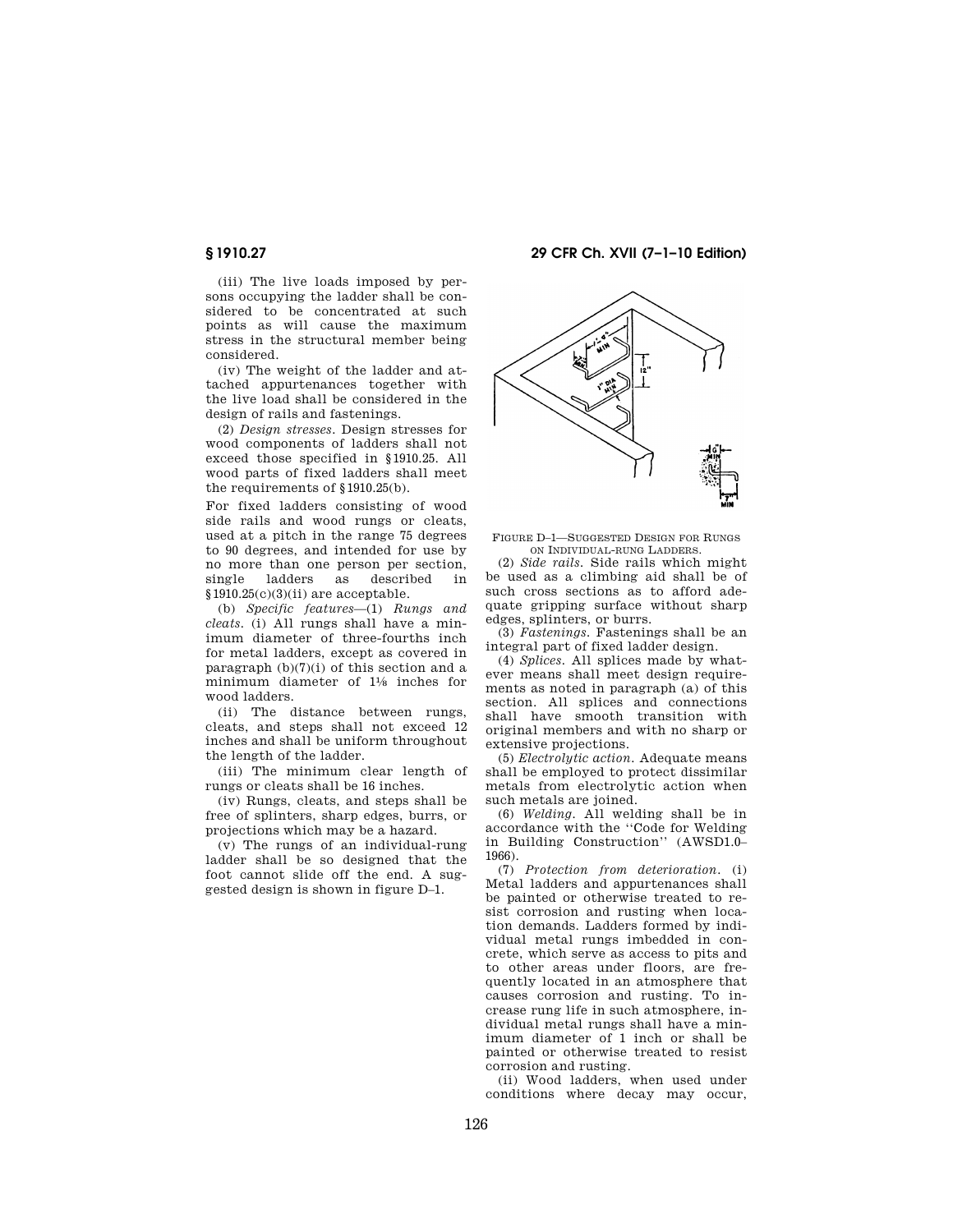**§ 1910.27 29 CFR Ch. XVII (7–1–10 Edition)** 

(iii) The live loads imposed by persons occupying the ladder shall be considered to be concentrated at such points as will cause the maximum stress in the structural member being considered.

(iv) The weight of the ladder and attached appurtenances together with the live load shall be considered in the design of rails and fastenings.

(2) *Design stresses.* Design stresses for wood components of ladders shall not exceed those specified in §1910.25. All wood parts of fixed ladders shall meet the requirements of §1910.25(b).

For fixed ladders consisting of wood side rails and wood rungs or cleats, used at a pitch in the range 75 degrees to 90 degrees, and intended for use by no more than one person per section, single ladders as described in §1910.25(c)(3)(ii) are acceptable.

(b) *Specific features*—(1) *Rungs and cleats.* (i) All rungs shall have a minimum diameter of three-fourths inch for metal ladders, except as covered in paragraph  $(b)(7)(i)$  of this section and a minimum diameter of 11⁄8 inches for wood ladders.

(ii) The distance between rungs, cleats, and steps shall not exceed 12 inches and shall be uniform throughout the length of the ladder.

(iii) The minimum clear length of rungs or cleats shall be 16 inches.

(iv) Rungs, cleats, and steps shall be free of splinters, sharp edges, burrs, or projections which may be a hazard.

(v) The rungs of an individual-rung ladder shall be so designed that the foot cannot slide off the end. A suggested design is shown in figure D–1.



FIGURE D–1—SUGGESTED DESIGN FOR RUNGS ON INDIVIDUAL-RUNG LADDERS.

(2) *Side rails.* Side rails which might be used as a climbing aid shall be of such cross sections as to afford adequate gripping surface without sharp edges, splinters, or burrs.

(3) *Fastenings.* Fastenings shall be an integral part of fixed ladder design.

(4) *Splices.* All splices made by whatever means shall meet design requirements as noted in paragraph (a) of this section. All splices and connections shall have smooth transition with original members and with no sharp or extensive projections.

(5) *Electrolytic action.* Adequate means shall be employed to protect dissimilar metals from electrolytic action when such metals are joined.

(6) *Welding.* All welding shall be in accordance with the ''Code for Welding in Building Construction'' (AWSD1.0– 1966).

(7) *Protection from deterioration.* (i) Metal ladders and appurtenances shall be painted or otherwise treated to resist corrosion and rusting when location demands. Ladders formed by individual metal rungs imbedded in concrete, which serve as access to pits and to other areas under floors, are frequently located in an atmosphere that causes corrosion and rusting. To increase rung life in such atmosphere, individual metal rungs shall have a minimum diameter of 1 inch or shall be painted or otherwise treated to resist corrosion and rusting.

(ii) Wood ladders, when used under conditions where decay may occur,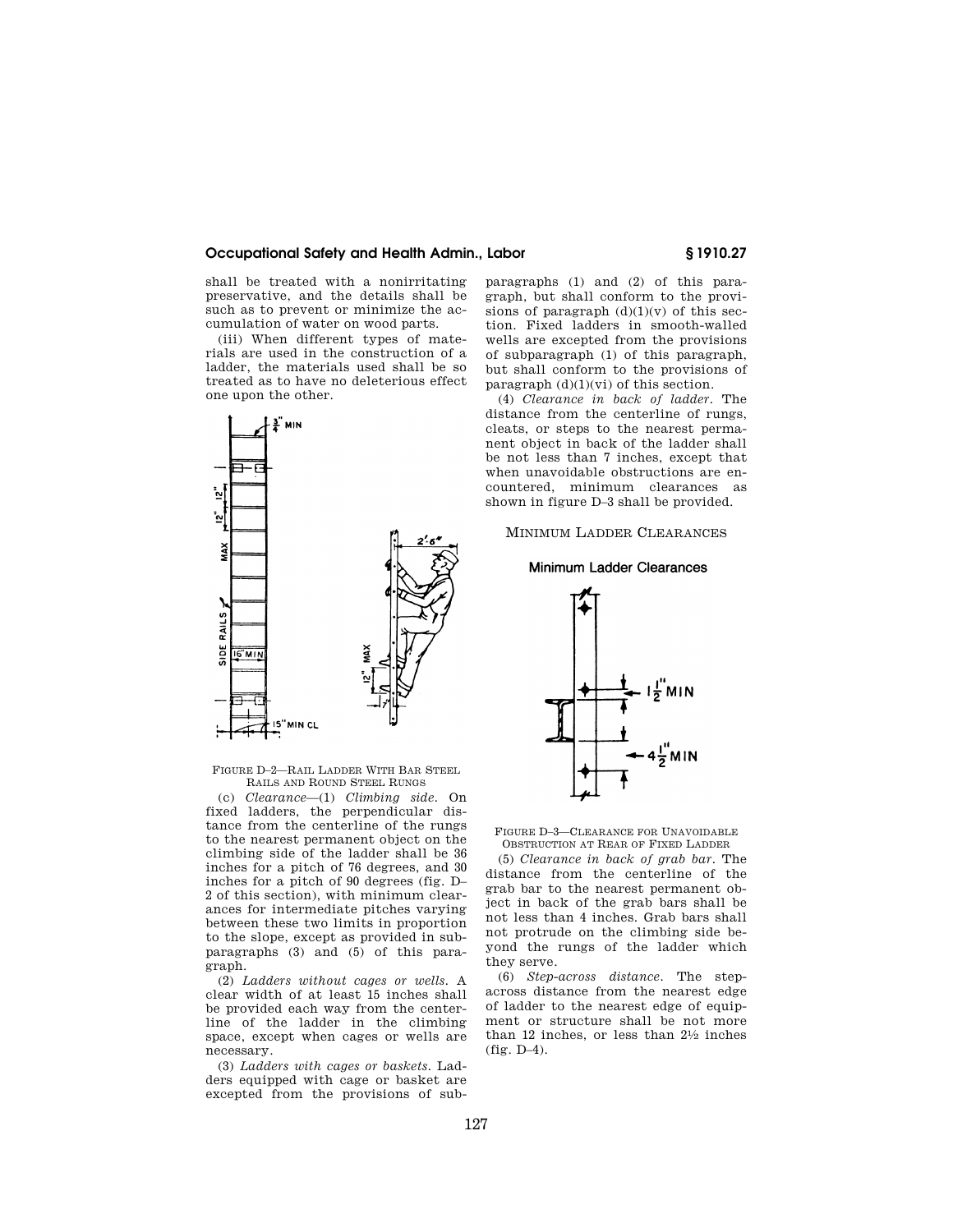shall be treated with a nonirritating preservative, and the details shall be such as to prevent or minimize the accumulation of water on wood parts.

(iii) When different types of materials are used in the construction of a ladder, the materials used shall be so treated as to have no deleterious effect one upon the other.



FIGURE D–2—RAIL LADDER WITH BAR STEEL RAILS AND ROUND STEEL RUNGS

(c) *Clearance*—(1) *Climbing side.* On fixed ladders, the perpendicular distance from the centerline of the rungs to the nearest permanent object on the climbing side of the ladder shall be 36 inches for a pitch of 76 degrees, and 30 inches for a pitch of 90 degrees (fig. D– 2 of this section), with minimum clearances for intermediate pitches varying between these two limits in proportion to the slope, except as provided in subparagraphs (3) and (5) of this paragraph.

(2) *Ladders without cages or wells.* A clear width of at least 15 inches shall be provided each way from the centerline of the ladder in the climbing space, except when cages or wells are necessary.

(3) *Ladders with cages or baskets.* Ladders equipped with cage or basket are excepted from the provisions of sub-

paragraphs (1) and (2) of this paragraph, but shall conform to the provisions of paragraph  $(d)(1)(v)$  of this section. Fixed ladders in smooth-walled wells are excepted from the provisions of subparagraph (1) of this paragraph, but shall conform to the provisions of paragraph  $(d)(1)(vi)$  of this section.

(4) *Clearance in back of ladder.* The distance from the centerline of rungs, cleats, or steps to the nearest permanent object in back of the ladder shall be not less than 7 inches, except that when unavoidable obstructions are encountered, minimum clearances as shown in figure D–3 shall be provided.

## MINIMUM LADDER CLEARANCES

## Minimum Ladder Clearances



FIGURE D–3—CLEARANCE FOR UNAVOIDABLE OBSTRUCTION AT REAR OF FIXED LADDER

(5) *Clearance in back of grab bar.* The distance from the centerline of the grab bar to the nearest permanent object in back of the grab bars shall be not less than 4 inches. Grab bars shall not protrude on the climbing side beyond the rungs of the ladder which they serve.

(6) *Step-across distance.* The stepacross distance from the nearest edge of ladder to the nearest edge of equipment or structure shall be not more than 12 inches, or less than 21⁄2 inches (fig. D–4).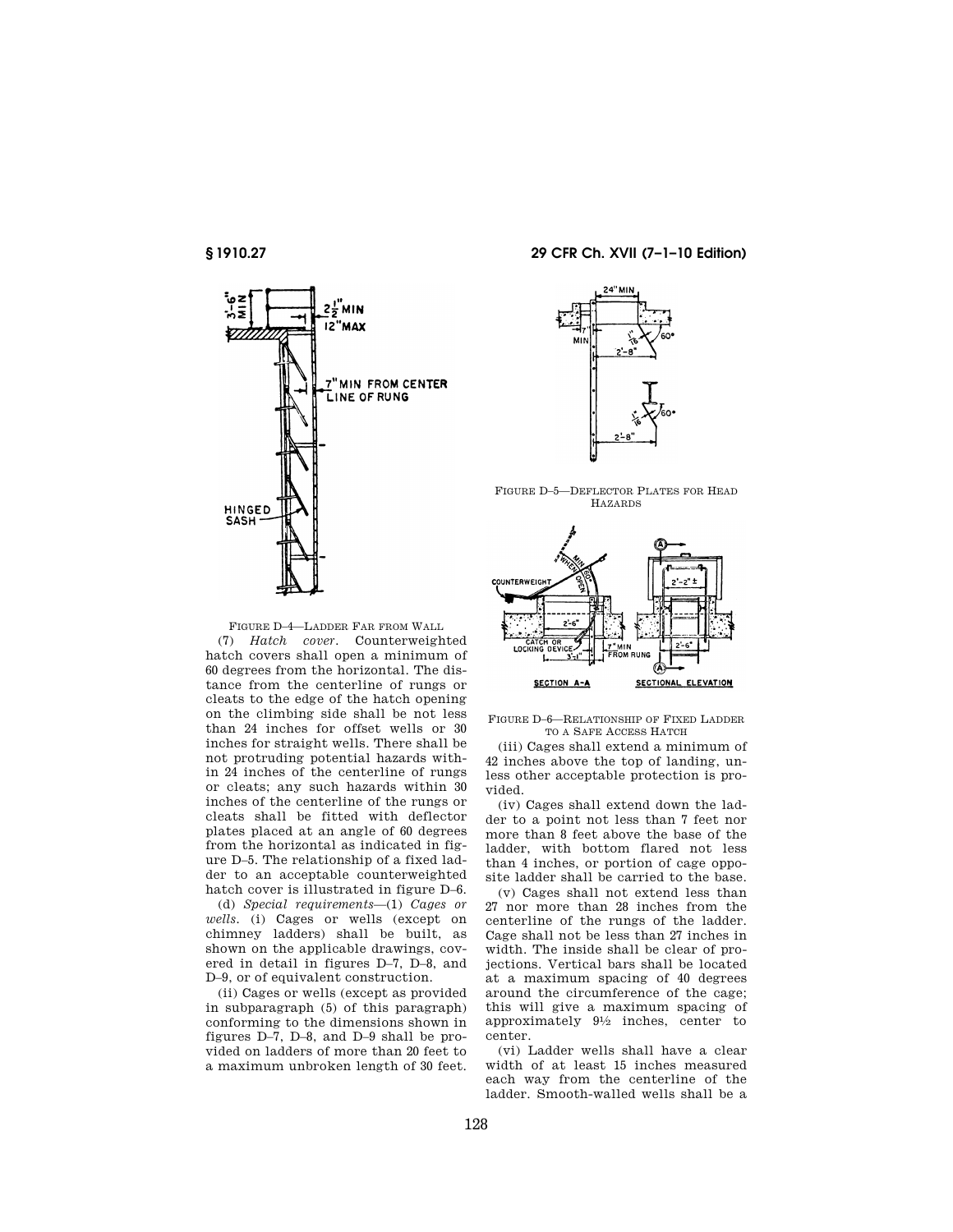

FIGURE D–4—LADDER FAR FROM WALL

(7) *Hatch cover.* Counterweighted hatch covers shall open a minimum of 60 degrees from the horizontal. The distance from the centerline of rungs or cleats to the edge of the hatch opening on the climbing side shall be not less than 24 inches for offset wells or 30 inches for straight wells. There shall be not protruding potential hazards within 24 inches of the centerline of rungs or cleats; any such hazards within 30 inches of the centerline of the rungs or cleats shall be fitted with deflector plates placed at an angle of 60 degrees from the horizontal as indicated in figure D–5. The relationship of a fixed ladder to an acceptable counterweighted hatch cover is illustrated in figure D–6.

(d) *Special requirements*—(1) *Cages or wells.* (i) Cages or wells (except on chimney ladders) shall be built, as shown on the applicable drawings, covered in detail in figures D–7, D–8, and D–9, or of equivalent construction.

(ii) Cages or wells (except as provided in subparagraph (5) of this paragraph) conforming to the dimensions shown in figures D–7, D–8, and D–9 shall be provided on ladders of more than 20 feet to a maximum unbroken length of 30 feet.

# **§ 1910.27 29 CFR Ch. XVII (7–1–10 Edition)**



FIGURE D–5—DEFLECTOR PLATES FOR HEAD HAZARDS



FIGURE D–6—RELATIONSHIP OF FIXED LADDER TO A SAFE ACCESS HATCH

(iii) Cages shall extend a minimum of 42 inches above the top of landing, unless other acceptable protection is provided.

(iv) Cages shall extend down the ladder to a point not less than 7 feet nor more than 8 feet above the base of the ladder, with bottom flared not less than 4 inches, or portion of cage opposite ladder shall be carried to the base.

(v) Cages shall not extend less than 27 nor more than 28 inches from the centerline of the rungs of the ladder. Cage shall not be less than 27 inches in width. The inside shall be clear of projections. Vertical bars shall be located at a maximum spacing of 40 degrees around the circumference of the cage; this will give a maximum spacing of approximately  $9\frac{1}{2}$  inches, center to center.

(vi) Ladder wells shall have a clear width of at least 15 inches measured each way from the centerline of the ladder. Smooth-walled wells shall be a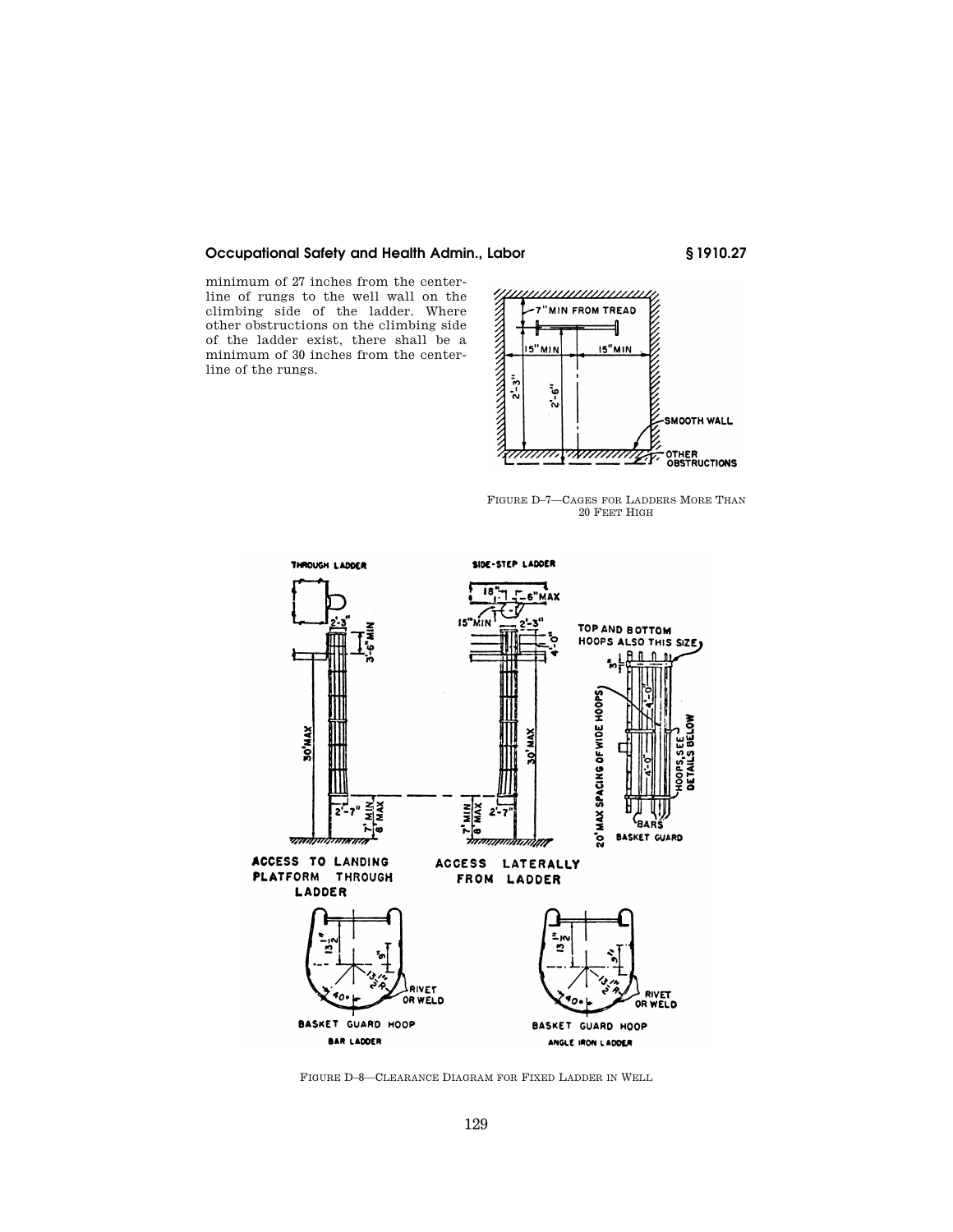minimum of 27 inches from the centerline of rungs to the well wall on the climbing side of the ladder. Where other obstructions on the climbing side of the ladder exist, there shall be a minimum of 30 inches from the centerline of the rungs.



FIGURE D–7—CAGES FOR LADDERS MORE THAN  $20$ FEET HIGH



FIGURE D–8—CLEARANCE DIAGRAM FOR FIXED LADDER IN WELL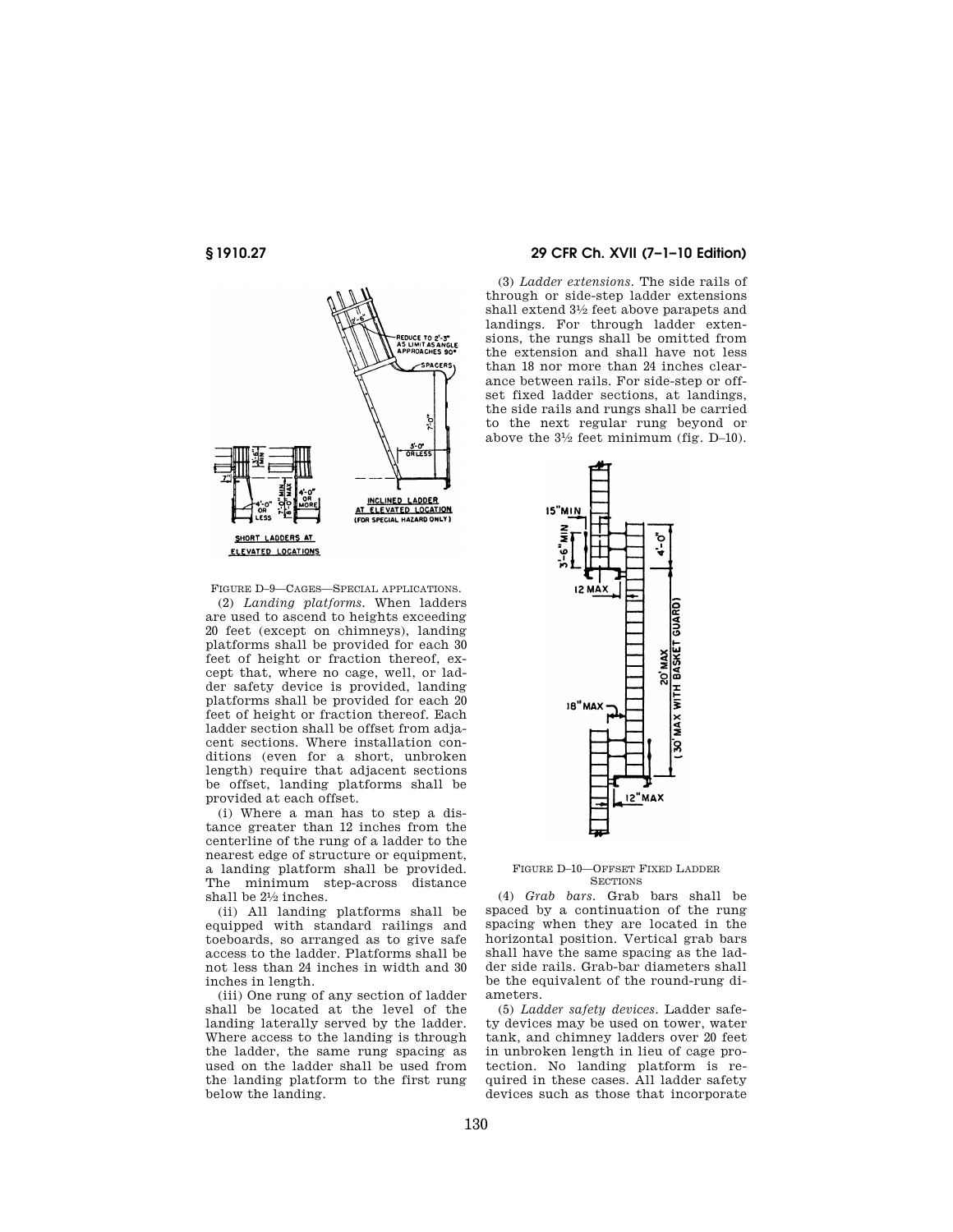

FIGURE D–9—CAGES—SPECIAL APPLICATIONS.

(2) *Landing platforms.* When ladders are used to ascend to heights exceeding 20 feet (except on chimneys), landing platforms shall be provided for each 30 feet of height or fraction thereof, except that, where no cage, well, or ladder safety device is provided, landing platforms shall be provided for each 20 feet of height or fraction thereof. Each ladder section shall be offset from adjacent sections. Where installation conditions (even for a short, unbroken length) require that adjacent sections be offset, landing platforms shall be provided at each offset.

(i) Where a man has to step a distance greater than 12 inches from the centerline of the rung of a ladder to the nearest edge of structure or equipment, a landing platform shall be provided. The minimum step-across distance shall be 21⁄2 inches.

(ii) All landing platforms shall be equipped with standard railings and toeboards, so arranged as to give safe access to the ladder. Platforms shall be not less than 24 inches in width and 30 inches in length.

(iii) One rung of any section of ladder shall be located at the level of the landing laterally served by the ladder. Where access to the landing is through the ladder, the same rung spacing as used on the ladder shall be used from the landing platform to the first rung below the landing.

## **§ 1910.27 29 CFR Ch. XVII (7–1–10 Edition)**

(3) *Ladder extensions.* The side rails of through or side-step ladder extensions shall extend 31⁄2 feet above parapets and landings. For through ladder extensions, the rungs shall be omitted from the extension and shall have not less than 18 nor more than 24 inches clearance between rails. For side-step or offset fixed ladder sections, at landings, the side rails and rungs shall be carried to the next regular rung beyond or above the 31⁄2 feet minimum (fig. D–10).



FIGURE D–10—OFFSET FIXED LADDER **SECTIONS** 

(4) *Grab bars.* Grab bars shall be spaced by a continuation of the rung spacing when they are located in the horizontal position. Vertical grab bars shall have the same spacing as the ladder side rails. Grab-bar diameters shall be the equivalent of the round-rung diameters.

(5) *Ladder safety devices.* Ladder safety devices may be used on tower, water tank, and chimney ladders over 20 feet in unbroken length in lieu of cage protection. No landing platform is required in these cases. All ladder safety devices such as those that incorporate